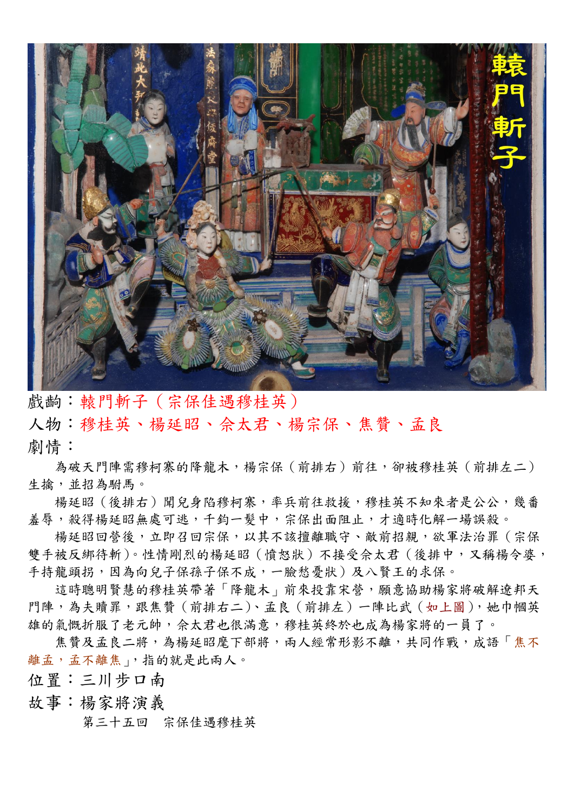

戲齣:轅門斬子(宗保佳遇穆桂英)

人物:穆桂英、楊延昭、佘太君、楊宗保、焦贊、孟良 劇情:

為破天門陣需穆柯寨的降龍木,楊宗保(前排右)前往,卻被穆桂英(前排左二) 生擒,並招為駙馬。

楊延昭(後排右)聞兒身陷穆柯寨,率兵前往救援,穆桂英不知來者是公公,幾番 羞辱,殺得楊延昭無處可逃,千鈞一髮中,宗保出面阻止,才適時化解一場誤殺。

楊延昭回營後,立即召回宗保,以其不該擅離職守、敵前招親,欲軍法治罪(宗保 雙手被反綁待斬)。性情剛烈的楊延昭(憤怒狀)不接受佘太君(後排中,又稱楊令婆, 手持龍頭拐,因為向兒子保孫子保不成,一臉愁憂狀)及八賢王的求保。

這時聰明賢慧的穆桂英帶著「降龍木」前來投靠宋營,願意協助楊家將破解遼邦天 門陣,為夫贖罪,跟焦贊(前排右二)、孟良(前排左)一陣比武(如上圖),她巾幗英 雄的氣慨折服了老元帥,佘太君也很滿意,穆桂英終於也成為楊家將的一員了。

焦贊及孟良二將,為楊延昭麾下部將,兩人經常形影不離,共同作戰,成語「焦不 離孟,孟不離焦」,指的就是此兩人。

- 位置:三川步口南
- 故事:楊家將演義

第三十五回 宗保佳遇穆桂英